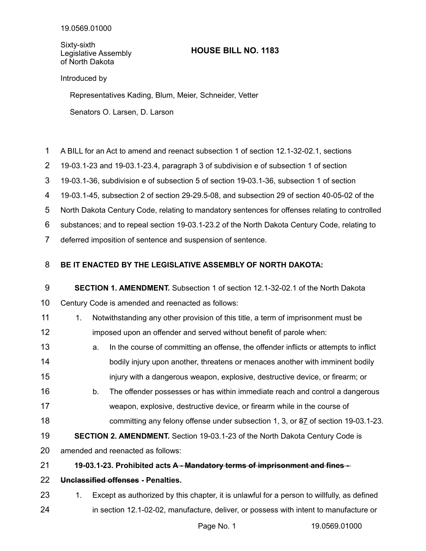Sixty-sixth Legislative Assembly of North Dakota

## **HOUSE BILL NO. 1183**

Introduced by

Representatives Kading, Blum, Meier, Schneider, Vetter

Senators O. Larsen, D. Larson

- A BILL for an Act to amend and reenact subsection 1 of section 12.1-32-02.1, sections 1
- 19-03.1-23 and 19-03.1-23.4, paragraph 3 of subdivision e of subsection 1 of section 2
- 19-03.1-36, subdivision e of subsection 5 of section 19-03.1-36, subsection 1 of section 3
- 19-03.1-45, subsection 2 of section 29-29.5-08, and subsection 29 of section 40-05-02 of the 4
- North Dakota Century Code, relating to mandatory sentences for offenses relating to controlled 5
- substances; and to repeal section 19-03.1-23.2 of the North Dakota Century Code, relating to 6
- deferred imposition of sentence and suspension of sentence. 7

## **BE IT ENACTED BY THE LEGISLATIVE ASSEMBLY OF NORTH DAKOTA:** 8

## **SECTION 1. AMENDMENT.** Subsection 1 of section 12.1-32-02.1 of the North Dakota 9

Century Code is amended and reenacted as follows: 10

- 1. Notwithstanding any other provision of this title, a term of imprisonment must be 11
- imposed upon an offender and served without benefit of parole when: 12
- a. In the course of committing an offense, the offender inflicts or attempts to inflict bodily injury upon another, threatens or menaces another with imminent bodily injury with a dangerous weapon, explosive, destructive device, or firearm; or 13 14 15
- b. The offender possesses or has within immediate reach and control a dangerous weapon, explosive, destructive device, or firearm while in the course of committing any felony offense under subsection 1, 3, or 87 of section 19-03.1-23. 16 17 18
- **SECTION 2. AMENDMENT.** Section 19-03.1-23 of the North Dakota Century Code is 19
- amended and reenacted as follows: 20
- **19-03.1-23. Prohibited acts A Mandatory terms of imprisonment and fines -** 21
- **Unclassified offenses Penalties.** 22
- 1. Except as authorized by this chapter, it is unlawful for a person to willfully, as defined in section 12.1-02-02, manufacture, deliver, or possess with intent to manufacture or 23 24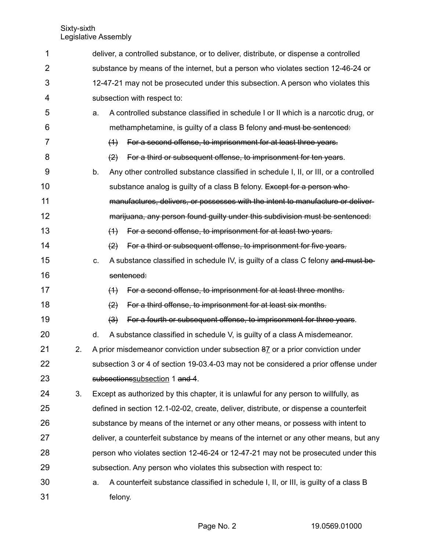| 1  |    |    | deliver, a controlled substance, or to deliver, distribute, or dispense a controlled     |  |  |
|----|----|----|------------------------------------------------------------------------------------------|--|--|
| 2  |    |    | substance by means of the internet, but a person who violates section 12-46-24 or        |  |  |
| 3  |    |    | 12-47-21 may not be prosecuted under this subsection. A person who violates this         |  |  |
| 4  |    |    | subsection with respect to:                                                              |  |  |
| 5  |    | a. | A controlled substance classified in schedule I or II which is a narcotic drug, or       |  |  |
| 6  |    |    | methamphetamine, is guilty of a class B felony and must be sentenced:                    |  |  |
| 7  |    |    | For a second offense, to imprisonment for at least three years.<br>(4)                   |  |  |
| 8  |    |    | $\left( 2\right)$<br>For a third or subsequent offense, to imprisonment for ten years.   |  |  |
| 9  |    | b. | Any other controlled substance classified in schedule I, II, or III, or a controlled     |  |  |
| 10 |    |    | substance analog is guilty of a class B felony. Except for a person who-                 |  |  |
| 11 |    |    | manufactures, delivers, or possesses with the intent to manufacture or deliver-          |  |  |
| 12 |    |    | marijuana, any person found guilty under this subdivision must be sentenced:             |  |  |
| 13 |    |    | For a second offense, to imprisonment for at least two years.<br>(4)                     |  |  |
| 14 |    |    | For a third or subsequent offense, to imprisonment for five years.<br>(2)                |  |  |
| 15 |    | C. | A substance classified in schedule IV, is guilty of a class C felony and must be         |  |  |
| 16 |    |    | sentenced:                                                                               |  |  |
| 17 |    |    | For a second offense, to imprisonment for at least three months.<br>(4)                  |  |  |
| 18 |    |    | For a third offense, to imprisonment for at least six months.<br>$\left( 2 \right)$      |  |  |
| 19 |    |    | For a fourth or subsequent offense, to imprisonment for three years.<br>$\left(3\right)$ |  |  |
| 20 |    | d. | A substance classified in schedule V, is guilty of a class A misdemeanor.                |  |  |
| 21 | 2. |    | A prior misdemeanor conviction under subsection 87 or a prior conviction under           |  |  |
| 22 |    |    | subsection 3 or 4 of section 19-03.4-03 may not be considered a prior offense under      |  |  |
| 23 |    |    | subsections subsection 1 and 4.                                                          |  |  |
| 24 | 3. |    | Except as authorized by this chapter, it is unlawful for any person to willfully, as     |  |  |
| 25 |    |    | defined in section 12.1-02-02, create, deliver, distribute, or dispense a counterfeit    |  |  |
| 26 |    |    | substance by means of the internet or any other means, or possess with intent to         |  |  |
| 27 |    |    | deliver, a counterfeit substance by means of the internet or any other means, but any    |  |  |
| 28 |    |    | person who violates section 12-46-24 or 12-47-21 may not be prosecuted under this        |  |  |
| 29 |    |    | subsection. Any person who violates this subsection with respect to:                     |  |  |
| 30 |    | a. | A counterfeit substance classified in schedule I, II, or III, is guilty of a class B     |  |  |
| 31 |    |    | felony.                                                                                  |  |  |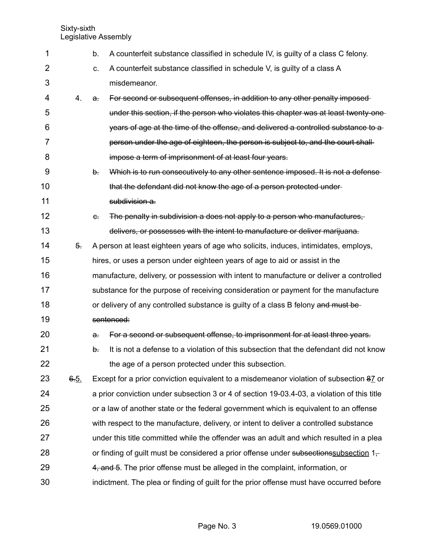| 1                 |      | b.             | A counterfeit substance classified in schedule IV, is guilty of a class C felony.              |
|-------------------|------|----------------|------------------------------------------------------------------------------------------------|
| 2                 |      | C.             | A counterfeit substance classified in schedule V, is guilty of a class A                       |
| 3                 |      |                | misdemeanor.                                                                                   |
| 4                 | 4.   | a.             | For second or subsequent offenses, in addition to any other penalty imposed-                   |
| 5                 |      |                | under this section, if the person who violates this chapter was at least twenty-one-           |
| 6                 |      |                | years of age at the time of the offense, and delivered a controlled substance to a             |
| 7                 |      |                | person under the age of eighteen, the person is subject to, and the court shall-               |
| 8                 |      |                | impose a term of imprisonment of at least four years.                                          |
| 9                 |      | b.             | Which is to run consecutively to any other sentence imposed. It is not a defense               |
| 10                |      |                | that the defendant did not know the age of a person protected under-                           |
| 11                |      |                | subdivision a.                                                                                 |
| $12 \overline{ }$ |      | $\theta$ .     | The penalty in subdivision a does not apply to a person who manufactures,                      |
| 13                |      |                | delivers, or possesses with the intent to manufacture or deliver marijuana.                    |
| 14                | 5.   |                | A person at least eighteen years of age who solicits, induces, intimidates, employs,           |
| 15                |      |                | hires, or uses a person under eighteen years of age to aid or assist in the                    |
| 16                |      |                | manufacture, delivery, or possession with intent to manufacture or deliver a controlled        |
| 17                |      |                | substance for the purpose of receiving consideration or payment for the manufacture            |
| 18                |      |                | or delivery of any controlled substance is guilty of a class B felony and must be-             |
| 19                |      |                | sentenced:                                                                                     |
| 20                |      | $\mathbf{a}$ . | For a second or subsequent offense, to imprisonment for at least three years.                  |
| 21                |      | b.             | It is not a defense to a violation of this subsection that the defendant did not know          |
| 22                |      |                | the age of a person protected under this subsection.                                           |
| 23                | 6.5. |                | Except for a prior conviction equivalent to a misdemeanor violation of subsection 87 or        |
| 24                |      |                | a prior conviction under subsection 3 or 4 of section 19-03.4-03, a violation of this title    |
| 25                |      |                | or a law of another state or the federal government which is equivalent to an offense          |
| 26                |      |                | with respect to the manufacture, delivery, or intent to deliver a controlled substance         |
| 27                |      |                | under this title committed while the offender was an adult and which resulted in a plea        |
| 28                |      |                | or finding of guilt must be considered a prior offense under subsections subsection $1_{\tau}$ |
| 29                |      |                | 4, and 5. The prior offense must be alleged in the complaint, information, or                  |
| 30                |      |                | indictment. The plea or finding of guilt for the prior offense must have occurred before       |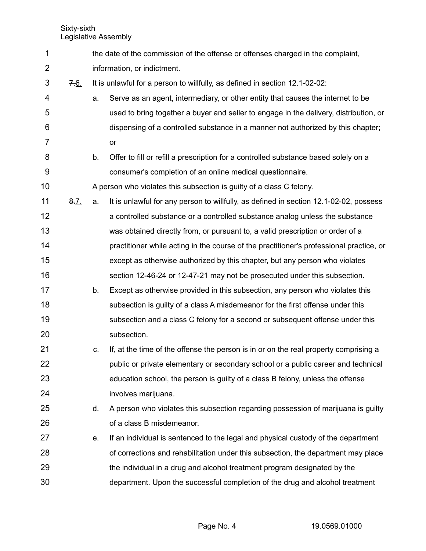the date of the commission of the offense or offenses charged in the complaint, information, or indictment. 7.6. It is unlawful for a person to willfully, as defined in section 12.1-02-02: a. Serve as an agent, intermediary, or other entity that causes the internet to be used to bring together a buyer and seller to engage in the delivery, distribution, or dispensing of a controlled substance in a manner not authorized by this chapter; or b. Offer to fill or refill a prescription for a controlled substance based solely on a consumer's completion of an online medical questionnaire. A person who violates this subsection is guilty of a class C felony. 8.7. a. It is unlawful for any person to willfully, as defined in section 12.1-02-02, possess a controlled substance or a controlled substance analog unless the substance was obtained directly from, or pursuant to, a valid prescription or order of a practitioner while acting in the course of the practitioner's professional practice, or except as otherwise authorized by this chapter, but any person who violates section 12-46-24 or 12-47-21 may not be prosecuted under this subsection. b. Except as otherwise provided in this subsection, any person who violates this subsection is guilty of a class A misdemeanor for the first offense under this subsection and a class C felony for a second or subsequent offense under this subsection. c. If, at the time of the offense the person is in or on the real property comprising a public or private elementary or secondary school or a public career and technical education school, the person is guilty of a class B felony, unless the offense involves marijuana. d. A person who violates this subsection regarding possession of marijuana is guilty of a class B misdemeanor. e. If an individual is sentenced to the legal and physical custody of the department of corrections and rehabilitation under this subsection, the department may place the individual in a drug and alcohol treatment program designated by the department. Upon the successful completion of the drug and alcohol treatment 1 2 3 4 5 6 7 8 9 10 11 12 13 14 15 16 17 18 19 20 21 22 23 24 25 26 27 28 29 30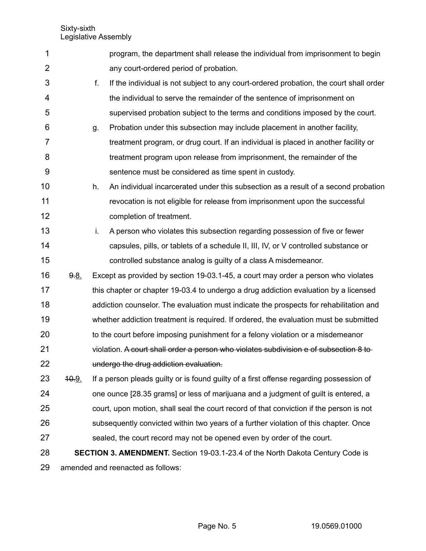| 1              |       | program, the department shall release the individual from imprisonment to begin              |
|----------------|-------|----------------------------------------------------------------------------------------------|
| $\overline{2}$ |       | any court-ordered period of probation.                                                       |
| 3              |       | f.<br>If the individual is not subject to any court-ordered probation, the court shall order |
| 4              |       | the individual to serve the remainder of the sentence of imprisonment on                     |
| 5              |       | supervised probation subject to the terms and conditions imposed by the court.               |
| 6              |       | Probation under this subsection may include placement in another facility,<br>g.             |
| 7              |       | treatment program, or drug court. If an individual is placed in another facility or          |
| 8              |       | treatment program upon release from imprisonment, the remainder of the                       |
| 9              |       | sentence must be considered as time spent in custody.                                        |
| 10             |       | An individual incarcerated under this subsection as a result of a second probation<br>h.     |
| 11             |       | revocation is not eligible for release from imprisonment upon the successful                 |
| 12             |       | completion of treatment.                                                                     |
| 13             |       | i.<br>A person who violates this subsection regarding possession of five or fewer            |
| 14             |       | capsules, pills, or tablets of a schedule II, III, IV, or V controlled substance or          |
| 15             |       | controlled substance analog is guilty of a class A misdemeanor.                              |
| 16             | 9.8.  | Except as provided by section 19-03.1-45, a court may order a person who violates            |
| 17             |       | this chapter or chapter 19-03.4 to undergo a drug addiction evaluation by a licensed         |
| 18             |       | addiction counselor. The evaluation must indicate the prospects for rehabilitation and       |
| 19             |       | whether addiction treatment is required. If ordered, the evaluation must be submitted        |
| 20             |       | to the court before imposing punishment for a felony violation or a misdemeanor              |
| 21             |       | violation. A court shall order a person who violates subdivision e of subsection 8 to-       |
| 22             |       | undergo the drug addiction evaluation.                                                       |
| 23             | 40.9. | If a person pleads guilty or is found guilty of a first offense regarding possession of      |
| 24             |       | one ounce [28.35 grams] or less of marijuana and a judgment of guilt is entered, a           |
| 25             |       | court, upon motion, shall seal the court record of that conviction if the person is not      |
| 26             |       | subsequently convicted within two years of a further violation of this chapter. Once         |
| 27             |       | sealed, the court record may not be opened even by order of the court.                       |
| 28             |       | <b>SECTION 3. AMENDMENT.</b> Section 19-03.1-23.4 of the North Dakota Century Code is        |
| 29             |       | amended and reenacted as follows:                                                            |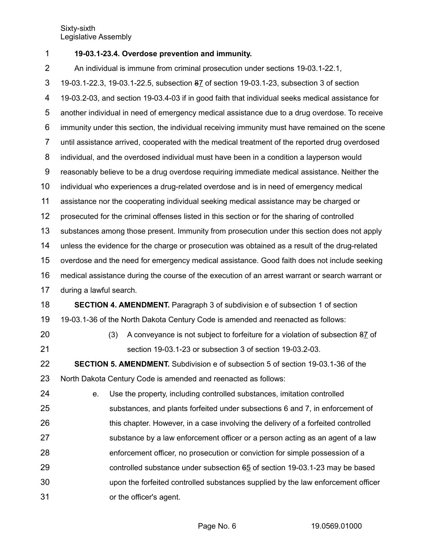| 1              |                                                                                                  | 19-03.1-23.4. Overdose prevention and immunity.                                                 |  |  |  |  |  |
|----------------|--------------------------------------------------------------------------------------------------|-------------------------------------------------------------------------------------------------|--|--|--|--|--|
| $\overline{2}$ | An individual is immune from criminal prosecution under sections 19-03.1-22.1,                   |                                                                                                 |  |  |  |  |  |
| 3              | 19-03.1-22.3, 19-03.1-22.5, subsection 87 of section 19-03.1-23, subsection 3 of section         |                                                                                                 |  |  |  |  |  |
| 4              | 19-03.2-03, and section 19-03.4-03 if in good faith that individual seeks medical assistance for |                                                                                                 |  |  |  |  |  |
| 5              |                                                                                                  | another individual in need of emergency medical assistance due to a drug overdose. To receive   |  |  |  |  |  |
| 6              |                                                                                                  | immunity under this section, the individual receiving immunity must have remained on the scene  |  |  |  |  |  |
| $\overline{7}$ |                                                                                                  | until assistance arrived, cooperated with the medical treatment of the reported drug overdosed  |  |  |  |  |  |
| 8              |                                                                                                  | individual, and the overdosed individual must have been in a condition a layperson would        |  |  |  |  |  |
| 9              |                                                                                                  | reasonably believe to be a drug overdose requiring immediate medical assistance. Neither the    |  |  |  |  |  |
| 10             |                                                                                                  | individual who experiences a drug-related overdose and is in need of emergency medical          |  |  |  |  |  |
| 11             |                                                                                                  | assistance nor the cooperating individual seeking medical assistance may be charged or          |  |  |  |  |  |
| 12             |                                                                                                  | prosecuted for the criminal offenses listed in this section or for the sharing of controlled    |  |  |  |  |  |
| 13             |                                                                                                  | substances among those present. Immunity from prosecution under this section does not apply     |  |  |  |  |  |
| 14             |                                                                                                  | unless the evidence for the charge or prosecution was obtained as a result of the drug-related  |  |  |  |  |  |
| 15             |                                                                                                  | overdose and the need for emergency medical assistance. Good faith does not include seeking     |  |  |  |  |  |
| 16             |                                                                                                  | medical assistance during the course of the execution of an arrest warrant or search warrant or |  |  |  |  |  |
| 17             | during a lawful search.                                                                          |                                                                                                 |  |  |  |  |  |
| 18             |                                                                                                  | <b>SECTION 4. AMENDMENT.</b> Paragraph 3 of subdivision e of subsection 1 of section            |  |  |  |  |  |
| 19             |                                                                                                  | 19-03.1-36 of the North Dakota Century Code is amended and reenacted as follows:                |  |  |  |  |  |
| 20             | (3)                                                                                              | A conveyance is not subject to forfeiture for a violation of subsection 87 of                   |  |  |  |  |  |
| 21             |                                                                                                  | section 19-03.1-23 or subsection 3 of section 19-03.2-03.                                       |  |  |  |  |  |
| 22             |                                                                                                  | SECTION 5. AMENDMENT. Subdivision e of subsection 5 of section 19-03.1-36 of the                |  |  |  |  |  |
| 23             |                                                                                                  | North Dakota Century Code is amended and reenacted as follows:                                  |  |  |  |  |  |
| 24             | е.                                                                                               | Use the property, including controlled substances, imitation controlled                         |  |  |  |  |  |
| 25             |                                                                                                  | substances, and plants forfeited under subsections 6 and 7, in enforcement of                   |  |  |  |  |  |
| 26             |                                                                                                  | this chapter. However, in a case involving the delivery of a forfeited controlled               |  |  |  |  |  |
| 27             |                                                                                                  | substance by a law enforcement officer or a person acting as an agent of a law                  |  |  |  |  |  |
| 28             |                                                                                                  | enforcement officer, no prosecution or conviction for simple possession of a                    |  |  |  |  |  |
| 29             |                                                                                                  | controlled substance under subsection $65$ of section 19-03.1-23 may be based                   |  |  |  |  |  |
| 30             |                                                                                                  | upon the forfeited controlled substances supplied by the law enforcement officer                |  |  |  |  |  |
| 31             |                                                                                                  | or the officer's agent.                                                                         |  |  |  |  |  |